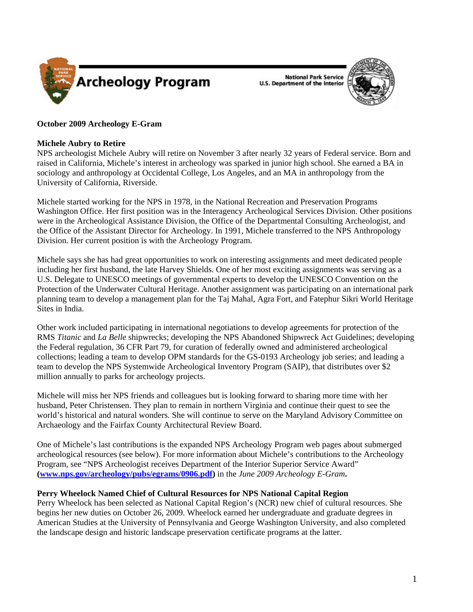

**National Park Service** U.S. Department of the Interior



# **October 2009 Archeology E-Gram**

### **Michele Aubry to Retire**

NPS archeologist Michele Aubry will retire on November 3 after nearly 32 years of Federal service. Born and raised in California, Michele's interest in archeology was sparked in junior high school. She earned a BA in sociology and anthropology at Occidental College, Los Angeles, and an MA in anthropology from the University of California, Riverside.

Michele started working for the NPS in 1978, in the National Recreation and Preservation Programs Washington Office. Her first position was in the Interagency Archeological Services Division. Other positions were in the Archeological Assistance Division, the Office of the Departmental Consulting Archeologist, and the Office of the Assistant Director for Archeology. In 1991, Michele transferred to the NPS Anthropology Division. Her current position is with the Archeology Program.

Michele says she has had great opportunities to work on interesting assignments and meet dedicated people including her first husband, the late Harvey Shields. One of her most exciting assignments was serving as a U.S. Delegate to UNESCO meetings of governmental experts to develop the UNESCO Convention on the Protection of the Underwater Cultural Heritage. Another assignment was participating on an international park planning team to develop a management plan for the Taj Mahal, Agra Fort, and Fatephur Sikri World Heritage Sites in India.

Other work included participating in international negotiations to develop agreements for protection of the RMS *Titanic* and *La Belle* shipwrecks; developing the NPS Abandoned Shipwreck Act Guidelines; developing the Federal regulation, 36 CFR Part 79, for curation of federally owned and administered archeological collections; leading a team to develop OPM standards for the GS-0193 Archeology job series; and leading a team to develop the NPS Systemwide Archeological Inventory Program (SAIP), that distributes over \$2 million annually to parks for archeology projects.

Michele will miss her NPS friends and colleagues but is looking forward to sharing more time with her husband, Peter Christensen. They plan to remain in northern Virginia and continue their quest to see the world's historical and natural wonders. She will continue to serve on the Maryland Advisory Committee on Archaeology and the Fairfax County Architectural Review Board.

One of Michele's last contributions is the expanded NPS Archeology Program web pages about submerged archeological resources (see below). For more information about Michele's contributions to the Archeology Program, see "NPS Archeologist receives Department of the Interior Superior Service Award" **(<www.nps.gov/archeology/pubs/egrams/0906.pdf>)** in the *June 2009 Archeology E-Gram***.** 

# **Perry Wheelock Named Chief of Cultural Resources for NPS National Capital Region**

Perry Wheelock has been selected as National Capital Region's (NCR) new chief of cultural resources. She begins her new duties on October 26, 2009. Wheelock earned her undergraduate and graduate degrees in American Studies at the University of Pennsylvania and George Washington University, and also completed the landscape design and historic landscape preservation certificate programs at the latter.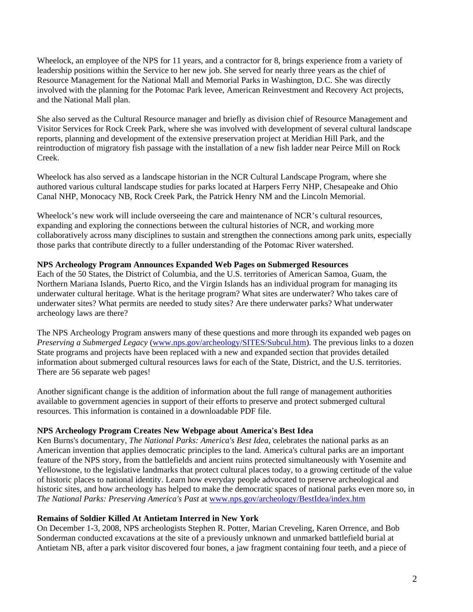Wheelock, an employee of the NPS for 11 years, and a contractor for 8, brings experience from a variety of leadership positions within the Service to her new job. She served for nearly three years as the chief of Resource Management for the National Mall and Memorial Parks in Washington, D.C. She was directly involved with the planning for the Potomac Park levee, American Reinvestment and Recovery Act projects, and the National Mall plan.

She also served as the Cultural Resource manager and briefly as division chief of Resource Management and Visitor Services for Rock Creek Park, where she was involved with development of several cultural landscape reports, planning and development of the extensive preservation project at Meridian Hill Park, and the reintroduction of migratory fish passage with the installation of a new fish ladder near Peirce Mill on Rock Creek.

Wheelock has also served as a landscape historian in the NCR Cultural Landscape Program, where she authored various cultural landscape studies for parks located at Harpers Ferry NHP, Chesapeake and Ohio Canal NHP, Monocacy NB, Rock Creek Park, the Patrick Henry NM and the Lincoln Memorial.

Wheelock's new work will include overseeing the care and maintenance of NCR's cultural resources, expanding and exploring the connections between the cultural histories of NCR, and working more collaboratively across many disciplines to sustain and strengthen the connections among park units, especially those parks that contribute directly to a fuller understanding of the Potomac River watershed.

#### **NPS Archeology Program Announces Expanded Web Pages on Submerged Resources**

Each of the 50 States, the District of Columbia, and the U.S. territories of American Samoa, Guam, the Northern Mariana Islands, Puerto Rico, and the Virgin Islands has an individual program for managing its underwater cultural heritage. What is the heritage program? What sites are underwater? Who takes care of underwater sites? What permits are needed to study sites? Are there underwater parks? What underwater archeology laws are there?

The NPS Archeology Program answers many of these questions and more through its expanded web pages on *Preserving a Submerged Legacy* ([www.nps.gov/archeology/SITES/Subcul.htm\)](www.nps.gov/archeology/SITES/Subcul.htm). The previous links to a dozen State programs and projects have been replaced with a new and expanded section that provides detailed information about submerged cultural resources laws for each of the State, District, and the U.S. territories. There are 56 separate web pages!

Another significant change is the addition of information about the full range of management authorities available to government agencies in support of their efforts to preserve and protect submerged cultural resources. This information is contained in a downloadable PDF file.

# **NPS Archeology Program Creates New Webpage about America's Best Idea**

Ken Burns's documentary, *The National Parks: America's Best Idea*, celebrates the national parks as an American invention that applies democratic principles to the land. America's cultural parks are an important feature of the NPS story, from the battlefields and ancient ruins protected simultaneously with Yosemite and Yellowstone, to the legislative landmarks that protect cultural places today, to a growing certitude of the value of historic places to national identity. Learn how everyday people advocated to preserve archeological and historic sites, and how archeology has helped to make the democratic spaces of national parks even more so, in *The National Parks: Preserving America's Past* at<www.nps.gov/archeology/BestIdea/index.htm>

# **Remains of Soldier Killed At Antietam Interred in New York**

On December 1-3, 2008, NPS archeologists Stephen R. Potter, Marian Creveling, Karen Orrence, and Bob Sonderman conducted excavations at the site of a previously unknown and unmarked battlefield burial at Antietam NB, after a park visitor discovered four bones, a jaw fragment containing four teeth, and a piece of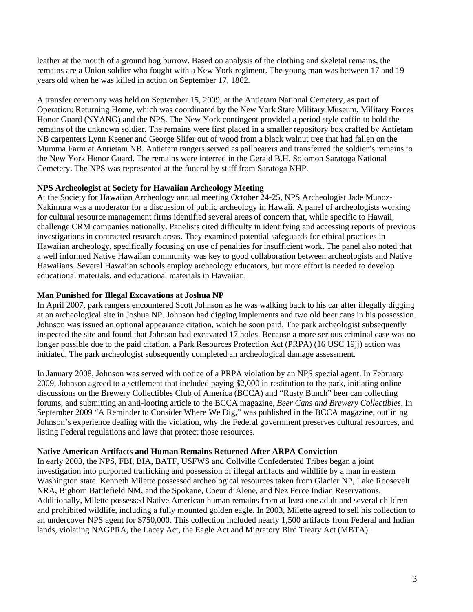leather at the mouth of a ground hog burrow. Based on analysis of the clothing and skeletal remains, the remains are a Union soldier who fought with a New York regiment. The young man was between 17 and 19 years old when he was killed in action on September 17, 1862.

A transfer ceremony was held on September 15, 2009, at the Antietam National Cemetery, as part of Operation: Returning Home, which was coordinated by the New York State Military Museum, Military Forces Honor Guard (NYANG) and the NPS. The New York contingent provided a period style coffin to hold the remains of the unknown soldier. The remains were first placed in a smaller repository box crafted by Antietam NB carpenters Lynn Keener and George Slifer out of wood from a black walnut tree that had fallen on the Mumma Farm at Antietam NB. Antietam rangers served as pallbearers and transferred the soldier's remains to the New York Honor Guard. The remains were interred in the Gerald B.H. Solomon Saratoga National Cemetery. The NPS was represented at the funeral by staff from Saratoga NHP.

### **NPS Archeologist at Society for Hawaiian Archeology Meeting**

At the Society for Hawaiian Archeology annual meeting October 24-25, NPS Archeologist Jade Munoz-Nakimura was a moderator for a discussion of public archeology in Hawaii. A panel of archeologists working for cultural resource management firms identified several areas of concern that, while specific to Hawaii, challenge CRM companies nationally. Panelists cited difficulty in identifying and accessing reports of previous investigations in contracted research areas. They examined potential safeguards for ethical practices in Hawaiian archeology, specifically focusing on use of penalties for insufficient work. The panel also noted that a well informed Native Hawaiian community was key to good collaboration between archeologists and Native Hawaiians. Several Hawaiian schools employ archeology educators, but more effort is needed to develop educational materials, and educational materials in Hawaiian.

### **Man Punished for Illegal Excavations at Joshua NP**

In April 2007, park rangers encountered Scott Johnson as he was walking back to his car after illegally digging at an archeological site in Joshua NP. Johnson had digging implements and two old beer cans in his possession. Johnson was issued an optional appearance citation, which he soon paid. The park archeologist subsequently inspected the site and found that Johnson had excavated 17 holes. Because a more serious criminal case was no longer possible due to the paid citation, a Park Resources Protection Act (PRPA) (16 USC 19jj) action was initiated. The park archeologist subsequently completed an archeological damage assessment.

In January 2008, Johnson was served with notice of a PRPA violation by an NPS special agent. In February 2009, Johnson agreed to a settlement that included paying \$2,000 in restitution to the park, initiating online discussions on the Brewery Collectibles Club of America (BCCA) and "Rusty Bunch" beer can collecting forums, and submitting an anti-looting article to the BCCA magazine, *Beer Cans and Brewery Collectibles*. In September 2009 "A Reminder to Consider Where We Dig," was published in the BCCA magazine, outlining Johnson's experience dealing with the violation, why the Federal government preserves cultural resources, and listing Federal regulations and laws that protect those resources.

# **Native American Artifacts and Human Remains Returned After ARPA Conviction**

In early 2003, the NPS, FBI, BIA, BATF, USFWS and Collville Confederated Tribes began a joint investigation into purported trafficking and possession of illegal artifacts and wildlife by a man in eastern Washington state. Kenneth Milette possessed archeological resources taken from Glacier NP, Lake Roosevelt NRA, Bighorn Battlefield NM, and the Spokane, Coeur d'Alene, and Nez Perce Indian Reservations. Additionally, Milette possessed Native American human remains from at least one adult and several children and prohibited wildlife, including a fully mounted golden eagle. In 2003, Milette agreed to sell his collection to an undercover NPS agent for \$750,000. This collection included nearly 1,500 artifacts from Federal and Indian lands, violating NAGPRA, the Lacey Act, the Eagle Act and Migratory Bird Treaty Act (MBTA).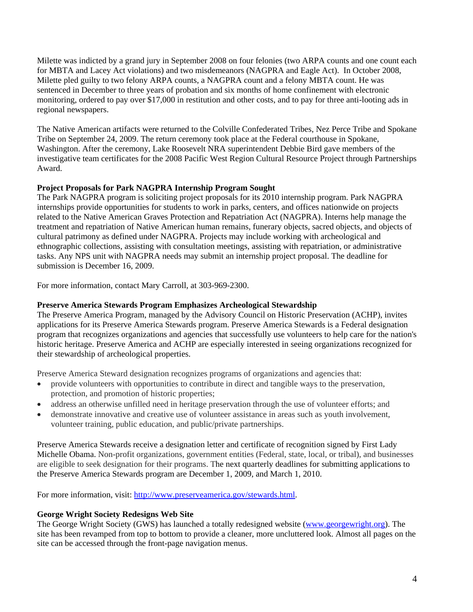Milette was indicted by a grand jury in September 2008 on four felonies (two ARPA counts and one count each for MBTA and Lacey Act violations) and two misdemeanors (NAGPRA and Eagle Act). In October 2008, Milette pled guilty to two felony ARPA counts, a NAGPRA count and a felony MBTA count. He was sentenced in December to three years of probation and six months of home confinement with electronic monitoring, ordered to pay over \$17,000 in restitution and other costs, and to pay for three anti-looting ads in regional newspapers.

The Native American artifacts were returned to the Colville Confederated Tribes, Nez Perce Tribe and Spokane Tribe on September 24, 2009. The return ceremony took place at the Federal courthouse in Spokane, Washington. After the ceremony, Lake Roosevelt NRA superintendent Debbie Bird gave members of the investigative team certificates for the 2008 Pacific West Region Cultural Resource Project through Partnerships Award.

### **Project Proposals for Park NAGPRA Internship Program Sought**

The Park NAGPRA program is soliciting project proposals for its 2010 internship program. Park NAGPRA internships provide opportunities for students to work in parks, centers, and offices nationwide on projects related to the Native American Graves Protection and Repatriation Act (NAGPRA). Interns help manage the treatment and repatriation of Native American human remains, funerary objects, sacred objects, and objects of cultural patrimony as defined under NAGPRA. Projects may include working with archeological and ethnographic collections, assisting with consultation meetings, assisting with repatriation, or administrative tasks. Any NPS unit with NAGPRA needs may submit an internship project proposal. The deadline for submission is December 16, 2009.

For more information, contact Mary Carroll, at 303-969-2300.

#### **Preserve America Stewards Program Emphasizes Archeological Stewardship**

The Preserve America Program, managed by the Advisory Council on Historic Preservation (ACHP), invites applications for its Preserve America Stewards program. Preserve America Stewards is a Federal designation program that recognizes organizations and agencies that successfully use volunteers to help care for the nation's historic heritage. Preserve America and ACHP are especially interested in seeing organizations recognized for their stewardship of archeological properties.

Preserve America Steward designation recognizes programs of organizations and agencies that:

- provide volunteers with opportunities to contribute in direct and tangible ways to the preservation, protection, and promotion of historic properties;
- address an otherwise unfilled need in heritage preservation through the use of volunteer efforts; and
- demonstrate innovative and creative use of volunteer assistance in areas such as youth involvement, volunteer training, public education, and public/private partnerships.

Preserve America Stewards receive a designation letter and certificate of recognition signed by First Lady Michelle Obama. Non-profit organizations, government entities (Federal, state, local, or tribal), and businesses are eligible to seek designation for their programs. The next quarterly deadlines for submitting applications to the Preserve America Stewards program are December 1, 2009, and March 1, 2010.

For more information, visit: <http://www.preserveamerica.gov/stewards.html>.

#### **George Wright Society Redesigns Web Site**

The George Wright Society (GWS) has launched a totally redesigned website ([www.georgewright.org\)](www.georgewright.org). The site has been revamped from top to bottom to provide a cleaner, more uncluttered look. Almost all pages on the site can be accessed through the front-page navigation menus.